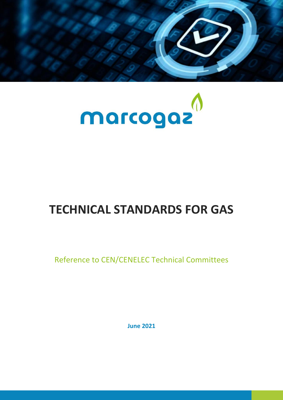



## **TECHNICAL STANDARDS FOR GAS**

Reference to CEN/CENELEC Technical Committees

**June 2021**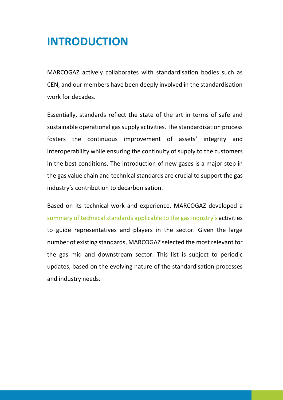## **INTRODUCTION**

MARCOGAZ actively collaborates with standardisation bodies such as CEN, and our members have been deeply involved in the standardisation work for decades.

Essentially, standards reflect the state of the art in terms of safe and sustainable operational gas supply activities. The standardisation process fosters the continuous improvement of assets' integrity and interoperability while ensuring the continuity of supply to the customers in the best conditions. The introduction of new gases is a major step in the gas value chain and technical standards are crucial to support the gas industry's contribution to decarbonisation.

Based on its technical work and experience, MARCOGAZ developed a summary of technical standards applicable to the gas industry's activities to guide representatives and players in the sector. Given the large number of existing standards, MARCOGAZ selected the most relevant for the gas mid and downstream sector. This list is subject to periodic updates, based on the evolving nature of the standardisation processes and industry needs.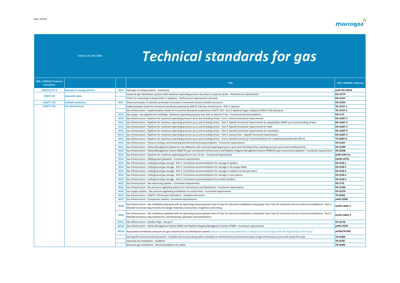## **Version: 14 / 06 / 2021** *Technical standards for gas*

| <b>CEN / CENELEC Technical</b><br><b>Committee</b> |                                   |                 | <b>Title</b>                                                                                                                                                                                                                                                                                                 | <b>CEN / CENELEC reference</b> |
|----------------------------------------------------|-----------------------------------|-----------------|--------------------------------------------------------------------------------------------------------------------------------------------------------------------------------------------------------------------------------------------------------------------------------------------------------------|--------------------------------|
| <b>CEN/CLC/JTC 6</b>                               | <b>Hydrogen in energy systems</b> | WG1             | Hydrogen in energy systems - vocabulary                                                                                                                                                                                                                                                                      | prEN ISO 24078                 |
| CEN/TC 69                                          | <b>Industrial valves</b>          |                 | Valves for gas distribution systems with maximum operating pressure less than or equal to 16 bar - Performance requirements                                                                                                                                                                                  | <b>EN 13774</b>                |
|                                                    |                                   |                 | Valves for natural gas transportation in pipelines - Performance requirements and tests                                                                                                                                                                                                                      | <b>EN 14141</b>                |
| <b>CEN/TC 219</b>                                  | <b>Cathodic protection</b>        | WG1             | General principles of cathodic protection of buried or immersed onshore metallic structures                                                                                                                                                                                                                  | EN 12954                       |
| <b>CEN/TC 234</b>                                  | <b>Gas infrastructure</b>         |                 | Implementation Guide for functional standards prepared by CEN/TC 234 Gas infrastructure - Part 1: General                                                                                                                                                                                                    | TR 13737-1                     |
|                                                    |                                   |                 | Gas infrastructure - Implementation Guide for Functional Standards prepared by CEN/TC 234 - Part 2: National Pages related to CEN/TC 234 standards                                                                                                                                                           | TR 13737-2                     |
|                                                    |                                   | WG1             | Gas supply - Gas pipework for buildings - Maximum operating pressure less than or equal to 5 bar - Functional recommendations                                                                                                                                                                                | <b>EN 1775</b>                 |
|                                                    |                                   | WG <sub>2</sub> | Gas infrastructure - Pipelines for maximum operating pressure up to and including 16 bar - Part 1: General functional requirements                                                                                                                                                                           | EN 12007-1                     |
|                                                    |                                   | WG <sub>2</sub> | Gas infrastructure - Pipelines for maximum operating pressure up to and including 16 bar - Part 2: Specific functional requirements for polyethylene (MOP up to and including 10 bar)                                                                                                                        | EN 12007-2                     |
|                                                    |                                   | WG <sub>2</sub> | Gas infrastructure - Pipelines for maximum operating pressure up to and including 16 bar - Part 3: Specific functional requirements for steel                                                                                                                                                                | EN 12007-3                     |
|                                                    |                                   | WG <sub>2</sub> | Gas infrastructure - Pipelines for maximum operating pressure up to and including 16 bar - Part 4: Specific functional requirements for renovation                                                                                                                                                           | EN 12007-4                     |
|                                                    |                                   | <b>WG10</b>     | Gas infrastructure - Pipelines for maximum operating pressure up to and including 16 bar - Part 5: Service lines - Specific functional requirements                                                                                                                                                          | EN 12007-5                     |
|                                                    |                                   | WG <sub>2</sub> | Gas infrastructure - Pipelines for maximum operating pressure up to and including 16 bar - Part 6: Specific functional recommendations for unplasticized polyamide (PA-U)                                                                                                                                    | TS 12007-6                     |
|                                                    |                                   | WG <sub>2</sub> | Gas infrastructure - Pressure testing, commissioning and decommissioning procedures - Functional requirements                                                                                                                                                                                                | EN 12327                       |
|                                                    |                                   | WG <sub>2</sub> | Gas infrastructure - Safety Management System for Gas Networks with maximum operting pressure up to and including 16 bar operting pressure up to and including 16 bar                                                                                                                                        | EN 15399                       |
|                                                    |                                   | WG3             | Gas infrastructure - Safety Management System (SMS) for gas transmission infrastructure and Pipeline Integrity Management System (PIMS) for gas transmission pipelines - Functional requirements                                                                                                             | <b>EN 16348</b>                |
|                                                    |                                   | WG3             | Gas Infrastructure - Pipelines for maximum operating pressure over 16 bar - Functional requirements                                                                                                                                                                                                          | prEN 1594 rev                  |
|                                                    |                                   | WG3             | Gas Infrastructure - Welding steel pipework - Functional requirements                                                                                                                                                                                                                                        | <b>FprEN 12732</b>             |
|                                                    |                                   | WG4             | Gas infrastructure - Underground gas storage - Part 1: Functional recommendations for storage in aquifers                                                                                                                                                                                                    | EN 1918-1                      |
|                                                    |                                   | WG4             | Gas infrastructure - Underground gas storage - Part 2: Functional recommendations for storage in oil and gas fields                                                                                                                                                                                          | EN 1918-2                      |
|                                                    |                                   | WG4             | Gas infrastructure - Underground gas storage - Part 3: Functional recommendations for storage in solution-mined salt cavern                                                                                                                                                                                  | EN 1918-3                      |
|                                                    |                                   | WG4             | Gas infrastructure - Underground gas storage - Part 4: Functional recommendations for storage in rock caverns                                                                                                                                                                                                | EN 1918-4                      |
|                                                    |                                   | WG4             | Gas infrastructure - Underground gas storage - Part 5: Functional recommendations for surface facilities                                                                                                                                                                                                     | EN 1918-5                      |
|                                                    |                                   | WG5             | Gas infrastructure - Gas measuring systems - Functional requirements                                                                                                                                                                                                                                         | <b>EN 1776</b>                 |
|                                                    |                                   | WG6             | Gas infrastructure - Gas pressure regulating stations for transmission and distribution - Functional requirements                                                                                                                                                                                            | <b>EN 12186</b>                |
|                                                    |                                   | WG6             | Gas supply systems - Gas pressure regulating installations on service lines - Functional requirements                                                                                                                                                                                                        | <b>EN 12279</b>                |
|                                                    |                                   | WG6             | Gas Infrastructure - CEN/TC 234 Pressure Definitions - Guideline Document                                                                                                                                                                                                                                    | TR 16395                       |
|                                                    |                                   | WG7             | Gas Infrastructure - Compressor stations - Functional requirements                                                                                                                                                                                                                                           | prEN 12583                     |
|                                                    |                                   | WG8             | Gas Infrastructure - Gas installation pipework with an operating pressure greater than 0,5 bar for industrial installations and greater than 5 bar for industrial and non-industrial installations - Part 1:<br>Detailed functional requirements for design, materials, construction, inspection and testing | FprEN 15001-1                  |
|                                                    |                                   | WG8             | Gas infrastructure - Gas installation pipework with an operating pressure greater than 0,5 bar for industrial installations and greater than 5 bar for industrial and non-industrial installations - Part 2:<br>Detailed functional requirements for commissioning, operation and maintenance                | FprEN 15001-2                  |
|                                                    |                                   | <b>WG11</b>     | Gas infrastructure - Quality of gas - Group H                                                                                                                                                                                                                                                                | EN 16726                       |
|                                                    |                                   | <b>WG12</b>     | Gas infrastructure - Safety Management System (SMS) and Pipeline Integrity Management System (PIMS) - Functional requirements                                                                                                                                                                                | prEN 17649                     |
|                                                    |                                   | <b>WG14</b>     | Assessment of methane emissions for gas transmission and distribution systems [Scope currently being extended to Underground Gas Storages and LNG Regasification Terminals]                                                                                                                                  | prCEN/TR XXX                   |
|                                                    |                                   |                 | Gas-Specific Environmental Document - Guideline for incorporating within standards to minimize the environmental impact of gas infrastructure across the whole life cycle                                                                                                                                    | TR 16388                       |
|                                                    |                                   |                 | Industrial Gas Installation - Guideline                                                                                                                                                                                                                                                                      | TR 16787                       |
|                                                    |                                   |                 | Domestic gas installations - Recommendations for safety                                                                                                                                                                                                                                                      | TR 16940                       |